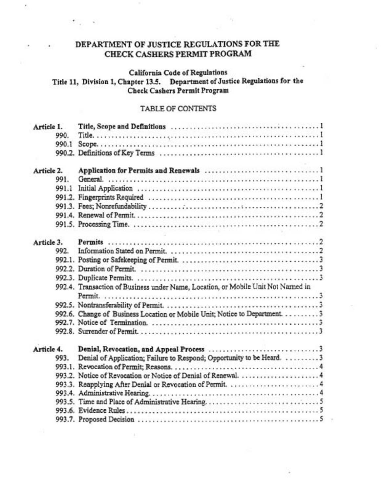# DEPARTMENT OF JUSTICE REGULATIONS FOR THE CHECK CASHERS PERMIT PROGRAM

 $\bar{c}$ 

# **California Code of Regulations**

# Title 11, Division 1, Chapter 13.5. Department of Justice Regulations for the Check Cashers Permit Program

# TABLE OF CONTENTS

| Article I. |       |                                                                                  |
|------------|-------|----------------------------------------------------------------------------------|
|            | 990.  |                                                                                  |
|            | 990.1 |                                                                                  |
|            |       |                                                                                  |
| Article 2. |       |                                                                                  |
|            | 991.  |                                                                                  |
|            | 991.1 |                                                                                  |
|            |       |                                                                                  |
|            |       |                                                                                  |
|            |       |                                                                                  |
|            |       |                                                                                  |
|            |       |                                                                                  |
| Article 3. |       |                                                                                  |
|            | 992.  |                                                                                  |
|            |       |                                                                                  |
|            |       |                                                                                  |
|            |       |                                                                                  |
|            |       | 992.4. Transaction of Business under Name, Location, or Mobile Unit Not Named in |
|            |       |                                                                                  |
|            |       |                                                                                  |
|            |       | 992.6. Change of Business Location or Mobile Unit; Notice to Department. 3       |
|            |       |                                                                                  |
|            |       |                                                                                  |
|            |       |                                                                                  |
| Article 4. |       |                                                                                  |
|            | 993.  | Denial of Application; Failure to Respond; Opportunity to be Heard. 3            |
|            |       |                                                                                  |
|            |       |                                                                                  |
|            |       |                                                                                  |
|            |       |                                                                                  |
|            |       |                                                                                  |
|            |       |                                                                                  |
|            |       |                                                                                  |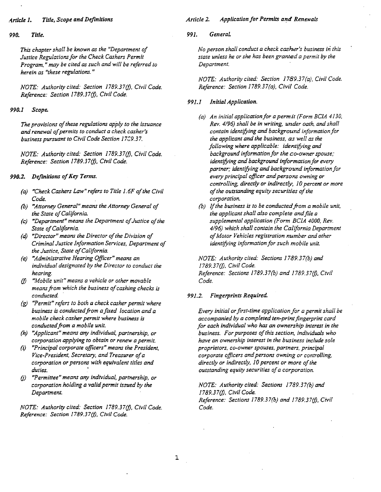#### *A.rticle* 1. *Title, Scope and Definitions*

*990. Title.* 

*This chapter shall be known as the "Department of Justice Regulations for the Check Cashers Permit Program,* " *may be cited as such and will be referred to herein as "these regulations. "* 

*NOTE: Authority cited: Section 1789.37(j), Civil Code. Reference: Section 1789.37(j), Civil Code.* 

## *990.1 Scope.*

The provisions of these regulations apply to the issuance *and renewal ofpermits to conduct a check casher's*  **business pursuant to Civil Code Section 1709.37.** 

*NOTE: Authority cited: Section 1789.37(j), Civil Code. Reference: Section 1789.37(j), Civil Code.* 

#### 990.2. Definitions of Key Terms.

- *(a) "Check Cashers Law" refers to Title 1.6F ofthe Civil Code.*
- *(b) "Attorney General" means the Attorney General of the State ofCalifornia.*
- *(c)* "Department" means the Department of Justice of the State of California.
- *(d)* "Director" means the Director of the Division of *Criminal Justice Information Services, Department of the Justice, State ofCalifornia.*
- *(e) "Administrative Hearing Officer" means an individual designated by the Director to conduct the hearing.*
- *(j) "Mobile unit" means a vehicle or other movable means from which the business ofcashing checks is conducted*
- *(g) "Permit" refers to both a check casher permit where*  business is conducted from a fixed location and a *mobile check casher permit where business* is conducted from a mobile unit.
- *(h) "Applicant" means* any *individual, partnership, or corporation applying to obtain or renew a permit.*
- *(i) "Principal corporate officers" means the President, Vice-President, Secretary, and Treasurer ofa corporation or persons with equivalent titles and duties. •*
- *(j) "Permittee" means any individual, partnership, or corporation holding a valid permit issued by the Department.*

*NOTE: Authority cited: Section 1789.37(j), Civil Code. Reference: Section 1789.37(j), Civil Code.* 

#### **Article 2. Application for Permits and Renewals**

# *991. GeneraL*

*No person shall conduct a check casher's business in this state unless he or she has been granted a permit by the Department.* 

*NOTE: Authority cited: Section 1789.37(a), Civil Code. Reference: Section 1789.37(a), Civil Code.* 

#### *991.1 Initial Application.*

- *(a) An initial application for a permit (Form BClA 4130, Rev.* 4/96) *shall be in writing, under oath, and shall contain identifying and background information for the applicant and the business, as well as the following where applicable: identifying and background information for the co-owner spouse; identifying and background information for every*  partner; identifying and background information for *every principal officer andpersons owning or controlling, directly or indirectly, 10 percent or more*   $of$  the outstanding equity securities of the *corporation.*
- *(b)* If the business is to be conducted from a mobile unit, *the applicant shall also complete andfile a supplemental application (Form BC1A 4000, Rev. 4/96) which shall contain the California Department ofMotor Vehicles registration number and other identifying information for such mobile unit.*

*NOTE: Authority cited: Sections 1789.37(b) and* 1789. *37(j), Civil Code. Reference: Sections 1789.37(b) and 1789.37(j), Civil Code.* 

#### *991.2. Fingerprints Required.*

*Every initial or first-time application for a permit shall be accompanied by a completed ten-print fingerprint card for each individual who has an ownership interest in the business. For purposes ofthis section, individuals who have an ownership interest in the business include sole proprietors, co-owner spouses, partners, principal corporate officers and persons owning or controlling,*  directly or indirectly, 10 percent or more of the *outstanding equity securities ofa corporation.* 

*NOTE: Authority cited: Sections 1789.37(b) and 1789.37(j), Civil Code. . Reference: Sections 1 789.37(b) and 1789.37(j), Civil Code.*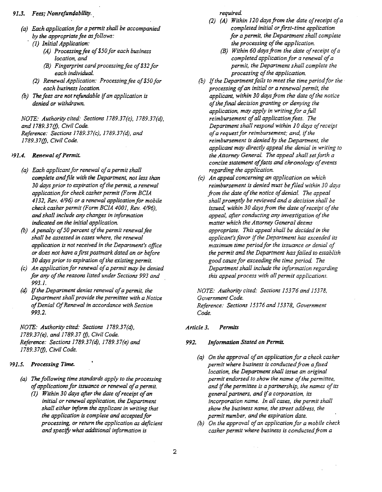#### 91.3. Fees: Nonrefundability.

- *(a) Each application for a permit shall be accompanied by the appropriate fee as follows:* 
	- *(1) Initial Application:* 
		- *(A) Processingfee of\$50for each business location, and*
		- *(B) Fingerprint cardprocessingfee of\$32for each individual.*
	- *(2) Renewal Application: Processingfee of\$50for each business location.*
- *(b) The fees are not refundable* if*an application is denied or withdrawn.*

*NOTE: Authoritycited: Sections 1789.37(c), 1789.37(d), and* 1789. *37(j), Civil Code. Reference: Sections 1789.37(c), 1789.37(d), and 1789.37(j), Civil Code.* 

# *191.4. Renewal 0/Permit.*

- *(a) Each applicant for renewal of a permit shall complete andfile with the Department, not less than*  30 days prior to expiration of the permit, a renewal *applicationfor check casher permit (Form BClA*  4132, Rev. 4/96) or a renewal application for mobile *check casher permit (Form BClA 4001, Rev. 4196), and shall include any changes in information indicated on the initial application.*
- *(b) A penalty of 50 percent of the permit renewal fee shall be assessed in cases where, the renewal application is not received in the Department's office or does not have a first postmark dated on or before*  30 days prior to expiration of the existing permit.
- *(c) An application for renewal ofa permit may be denied for any ofthe reasons listed under Sections* 993 *and*  993.1.
- *(d)*  If*the Department denies renewal ofa permit, the Department shall provide the permittee with a Notice ofDenial OfRenewal in accordance with Section*  993.2.

*NOTE: Authority cited: Sections 1789.37(d), 1789.37(e), and* 1789.37 *(j), Civil Code. Reference: Sections 1789.37(d), 1789.37(e) and 1789.37(j), Civil Code.* 

# *191.5. Processing Time.*

- *(a)* The following time standards apply to the processing *ofapplicatiOns for issuance or renewal ofa permit.* 
	- *(1) Within 30 days after the date ofreceipt ofan initial or renewal application, the Department shall either inform the applicant in writing that the application is complete and acceptedfor processing, or return the application as deficient and specify what additional information is*

*required.* 

- *(2) (A) Within 120 days from the date ofreceipt ofa completed initial or first-time application for a permit, the Department shall complete the processing of the application.* 
	- *(B) Within 60 days from the date ofreceipt ofa completed application for a renewal ofa permit, the Department shall complete the processing of the application.*
- *(b)* If the Department fails to meet the time period for the *processing ofan initial or a renewal permit, the applicant, within 30 days from the date ofthe notice ofthe final decision granting or denying the*  application, may apply in writing for a full *reimbursement ofall application fees. The Department shall respond within 10 days ofreceipt ofa request for reimbursement; and,* if*the reimbursement is denied by the Department, the applicant may directly appeal the denial in writing to the Attorney General. The appeal shall set forth a concise statement offacts and chronology ofevents regarding the application.*
- *(c) An appeal concerning an application on which*  reimbursement is denied must be filed within 30 days *from the date of the notice of denial. The appeal shall promptly be reviewed and a decision shall be*  issued, within 30 days from the date of receipt of the *appeal, after conducting any investigation of the matter which the Attorney General deems appropriate. This appeal shall be decided in the applicant'sfavor* if*the Department has exceeded its maximum time period for the issuance or denial of the permit and the Department has failed to establish*  good cause for exceeding the time period. The *Department shall include the information regarding this appeal process with all permit applications.*

*NOTE: Authority cited: Sections 15376 and* 15378, *Government Code. Reference: Sections* 15376 *and* 15378, *Government Code.* 

#### *Article* 3. *Permits*

#### *992. Information Stated on Permit.*

- *(a)* On the approval of an application for a check casher *permit where business is conductedfrom afixed location, the Department shall issue an original permit endorsed to show the name of the permittee, and* if*the permittee is a partnership, the names ofits general partners, and* if*a corporation, its incorporation name. In all cases, the permit shall show the business name, the street address, the permit number, and the expiration date.*
- *(b)* On the approval of an application for a mobile check casher permit where business is conducted from a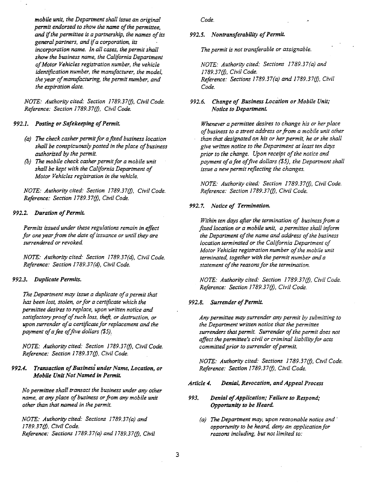*mobile unit, the Department shall issue an original permit endorsed to show the name of the permittee, and ifthe permittee is a partnership, the names ofits general partners, and ifa corporation, its incorporation name. In all cases, the permit shall show the business name, the California Department ofMotor Vehicles registration number, the vehicle identification number, the manufacturer, the model, the year ofmanufacturing, the permit number, and the expiration date.* 

*NOTE: Authority cited: Section 1789.37(f), Civil Code. Reference: Section 1789.37(f), Civil Code.* 

## 992.1. Posting or Safekeeping of Permit.

- *(a)* The check casher permit for a fixed business location *shall be conspicuously posted in the place ofbusiness authorized by the permit.*
- *(b)* The mobile check casher permit for a mobile unit *shall be kept with the California Department of Motor Vehicles registration in the vehicle.*

*NOTE: Authority cited: Section 1789.37(f), Civil Code. Reference: Section 1789.37(f), Civil Code.* 

#### 992.2. Duration of Permit.

*Permits issued under these regulations remain in effect*  for one year from the date of issuance or until they are *surrendered or revoked* 

*NOTE: Authority cited: Section f789.37(d), Civil Code. Reference: Section 1789.37(d), Civil Code.* 

#### *992.3. Duplicate Permits.*

The Department may issue a duplicate of a permit that *has been lost, stolen, or for a'certificate which the permittee desires to replace, upon written notice and* satisfactory proof of such loss, theft, or destruction, or *upon surrender ofa certificate for replacement and the*  payment of a fee of five dollars (\$5).

*NOTE: Authority cited: Section 1789.37(f), Civil Code. Reference: Section 1789.37(f), Civil Code.* 

# *992.4. Transaction ofBusiness under Name, Location, or Mobile Unit Not Named in Permit.*

*No permittee shall transact the business under any other name, at any place of business or from any mobile unit other than that named in the permit.* 

*NOTE: Authority cited: Sections 1789.37(a) and 1789.37(f), Civil Code. Reference: Sections 1789.37(a) and f789.37(f), Civil*  *Code.* 

#### 992.5. Nontransferability of Permit.

*The permit is not transferable or assignable.* 

*NOTE: Authority cited: Sections 1789.37(a) and 1789.37(f), Civil Code. Reference: Sections 1789.37(a) and 1789.37(j), Civil Code.* 

*992.6. Change of Business Location or Mobile Unit,· Notice to Department.* 

*Whenever a permittee desires to change his or her place ofbusiness to a street address or from a mobile unit other than that designated on his or her permit, he or she shall give written notice to the Department at least ten days*  prior to the change. Upon receipt of the notice and *payment ofafee offive dollars* (\$5), *the Department shall issue a new permit reflecting the changes.* 

*NOTE: Authority cited: Section 1789.37(f), Civil Code. Reference: Section* 1789.37(/), *Civil Code.* 

# *992.7. Notice of Termination.*

*Within ten days after the termination of business from a fIXed location or a mobile unit, a permittee shall inform*  the Department of the name and address of the business *location terminated or the California Department of Motor Vehicles registration number of the mobile unit terminated, together with the permit number and a*  statement of the reasons for the termination.

*NOTE: Authority cited: Section 1789.37(f), Civil Code. Reference: Section* 1789.37(/), *Civil Code.* 

## 992.8. Surrender of Permit.

*Any permittee may surrender any permit by submitting to the Department written notice that the permittee*  surrenders that permit. Surrender of the permit does not *affect the permittee's civil or criminal liability for acts committed prior to surrender of permit.* 

*NOTE: Authority cited: Sections 1789.37(f), Civil Code. Reference: Section 1789.37(f), Civil Code.* 

#### *Article* 4. *Denial, Revocation, and Appeal Process*

- 993. Denial of Application; Failure to Respond; *Opportunity to be Heard.* 
	- *(a) The Department may, upon reasonable notice and· opportunity to be heard. deny an applicationfor reasons including, but not limited to:*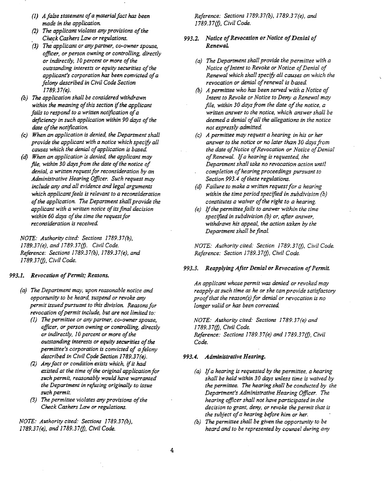- (1) *A false statement ofa materialfact has been made in the application.*
- *(2)* The applicant violates any provisions of the *Check Cashers Law or regulations.*
- *(3) The'applicant or any partner, co-owner spouse, officer, or person owning or controlling, directly or indirectly, 10 percent or more of the outstanding interests or equity securities ofthe applicant's corporation has been convicted ofa felony described in Civil Code Section 1789.37(e).*
- *(b)*  The *application shall be considered withdrawn*  within the meaning of this section if the applicant fails to respond to a written notification of a deficiency in such application within 90 days of the date of the notification.
- *(e) When an application is denied, the Department shall provide the applicant with a notice which specify all*  causes which the denial of application is based.
- *(d) When an application is denied, the applicant may file, within 30 days from the date of the notice of denial, a written request for reconsideration by an Administrative Hearing Officer. Such request may include any and all evidence and legal arguments which applicant feels is relevant to a reconsideration ofthe application. The Department shall provide the applicant with a written notice ofits final decision*  within 60 days of the time the request for *reconsideration is received.*

*NOTE: Authoritycited: Sections 1789.37(b), 1789.37(e), and 1789.37(1). Civil Code. Reference: Sections 1789.37(b), 1789.37(e), and 1789.37(1). Civil Code.* 

#### 993.1. Revocation of Permit; Reasons.

- *(a) The Department may, upon reasonable notice and opportunity to be heard, suspend or revoke any*  permit issued pursuant to this division. Reasons for revocation of permit include, but are not limited to:
	- (I) *The permittee or any partner, co-owner spouse, officer, or person owning or controlling. directly or indirectly, 10 percent or more of the outstanding interests* or *equity securities ofthe permittee's corporation is convicted of a felony described in Civil Code Section 1789.37(e).*
	- *(2) Any fact or condition exists which, if it had* existed at the time of the original application for *such permit, reasonably would have warranted the Department in refusing originally to issue such permit.*
	- *(3) The permittee violates any provisions of the Check Cashers Law* or *regulations.*

*NOTE: Authoritycited: Sections 1789.37(b), 1789.37(e), and 1789.37(j), Civil Code.* 

*Reference: Sections 1789.37(b), 1789.37(e). and 1789.37(j), Civil Code.* 

# 993.2. Notice of Revocation or Notice of Denial of *RenewaL*

- *(a)* The Department shall provide the permittee with a *Notice of Intent to Revoke or Notice of Denial of Renewal which shall specify all causes on which the*  revocation or denial of renewal is based.
- *(b) A permittee who has been served with a Notice of Intent to Revoke or Notice to Deny a Renewal may file, within 30 days from the date a/the notice. a written answer to the notice, which answer shall be deemed a denial ofall the allegations in the notice not expressly admitted.*
- *(c) A permittee may request a hearing in his or her answer to the notice* or *no later than 30 days from the date of Notice of Revocation or Notice of Denial ojRenewal.* If*a hearing* is *requested, the Department shall take no revocation action until completion ofhearing proceedings pursuant to*  Section 993.4 of these regulations.
- *(d) Failure to make a written request for a hearing within the time period specijfed in subdivision (b)*  constitutes a waiver of the right to a hearing.
- *(e)*  If*the perm ittee fails to answer within the time specified in subdivision (b) or. after answer. withdraws his appeal. the action taken by the Department shall be final.*

*NOTE: Authority cited: Section 1789.37(1). Civil Code. Reference: Section 1789.37(1). Civil Code.* 

#### 993.3. Reapplying After Denial or Revocation of Permit.

*An applicant whose permit was denied* or *revoked may reapply at such time as he or she can provide satisfactory proofthat the reason(s) for denial or revocation is no longer valid* or *has been corrected* 

*NOTE: Authority cited: Sections 1789.37(e) and 1789.37(1), Civil Code. Reference: Sections 1789.37(e) and 1789.37(1). Civil Code.* 

# *993.4. Administrative Hearing.*

- *(a)*  If*a hearing is requested by the permittee, a hearing shall be held within 30 days unless time is waived by the permittee. The hearing shall be conducted by the Department's Administrative Hearing Officer. The hearing officer shall not have participated in the decision to grant. deny,* or *revoke the permit that is*  the subject of a hearing before him or her.
- *(b) The permittee shall be given the opportunity to be heard and to be represented by counsel during any*